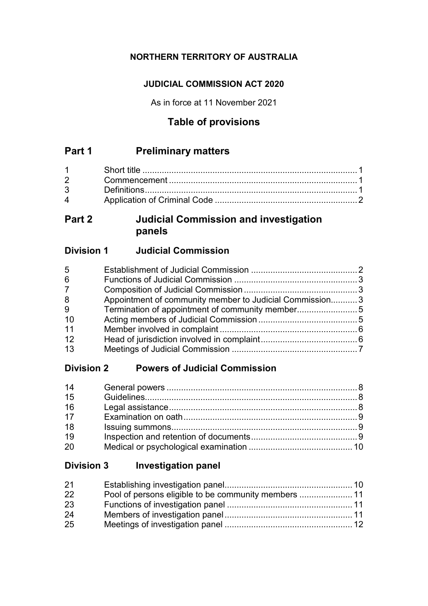# **NORTHERN TERRITORY OF AUSTRALIA**

## **JUDICIAL COMMISSION ACT 2020**

As in force at 11 November 2021

# **Table of provisions**

# **Part 1 Preliminary matters**

| $\mathbf 4$ |  |
|-------------|--|

# **Part 2 Judicial Commission and investigation panels**

# **Division 1 Judicial Commission**

| 5              |                                                         |  |
|----------------|---------------------------------------------------------|--|
| 6              |                                                         |  |
| $\overline{7}$ |                                                         |  |
| 8              | Appointment of community member to Judicial Commission3 |  |
| 9              |                                                         |  |
| 10             |                                                         |  |
| 11             |                                                         |  |
| 12             |                                                         |  |
| 13             |                                                         |  |

# **Division 2 Powers of Judicial Commission**

| 14 |  |
|----|--|
| 15 |  |
| 16 |  |
| 17 |  |
| 18 |  |
| 19 |  |
| 20 |  |

# **Division 3 Investigation panel**

| 21 |  |
|----|--|
| 22 |  |
| 23 |  |
| 24 |  |
| 25 |  |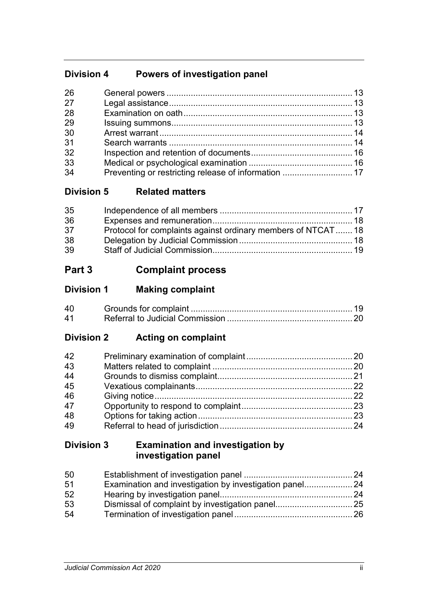# **Division 4 Powers of investigation panel**

| 26 |                                                      |  |
|----|------------------------------------------------------|--|
| 27 |                                                      |  |
| 28 |                                                      |  |
| 29 |                                                      |  |
| 30 |                                                      |  |
| 31 |                                                      |  |
| 32 |                                                      |  |
| 33 |                                                      |  |
| 34 | Preventing or restricting release of information  17 |  |

# **Division 5 Related matters**

| 35 |                                                              |  |
|----|--------------------------------------------------------------|--|
| 36 |                                                              |  |
| 37 | Protocol for complaints against ordinary members of NTCAT 18 |  |
| 38 |                                                              |  |
| 39 |                                                              |  |

# **Part 3 Complaint process**

| <b>Division 1</b> | <b>Making complaint</b> |
|-------------------|-------------------------|
|-------------------|-------------------------|

| 40         |  |
|------------|--|
| $\Delta$ 1 |  |

# **Division 2 Acting on complaint**

| 42 |  |
|----|--|
| 43 |  |
| 44 |  |
| 45 |  |
| 46 |  |
| 47 |  |
| 48 |  |
| 49 |  |

# **Division 3 Examination and investigation by investigation panel**

| 50 |  |
|----|--|
| 51 |  |
| 52 |  |
| 53 |  |
| 54 |  |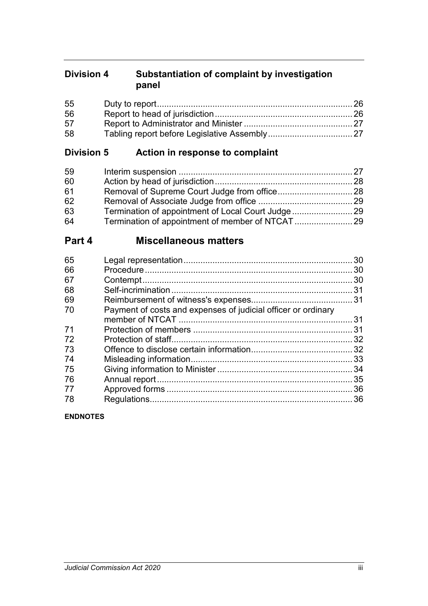# **Division 4 Substantiation of complaint by investigation panel**

| 55 |  |
|----|--|
| 56 |  |
| 57 |  |
| 58 |  |

# **Division 5 Action in response to complaint**

| 59 |  |
|----|--|
| 60 |  |
| 61 |  |
| 62 |  |
| 63 |  |
| 64 |  |

# **Part 4 Miscellaneous matters**

| 30<br>30<br>31 |
|----------------|
|                |
|                |
|                |
|                |
|                |
| 31             |
| 31             |
| 32             |
| 32             |
| 33             |
| 34             |
| 35             |
| 36             |
| 36             |
|                |

**ENDNOTES**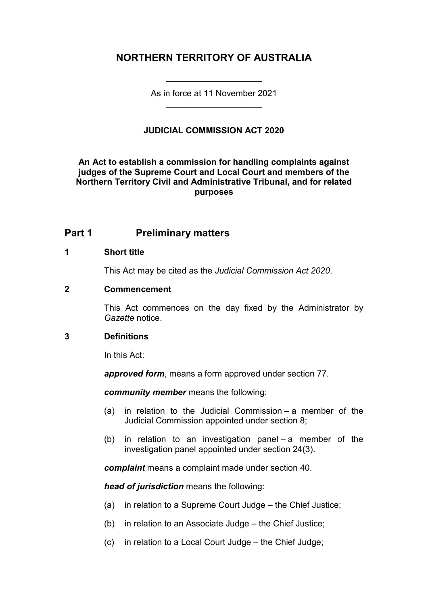# **NORTHERN TERRITORY OF AUSTRALIA**

As in force at 11 November 2021 \_\_\_\_\_\_\_\_\_\_\_\_\_\_\_\_\_\_\_\_

\_\_\_\_\_\_\_\_\_\_\_\_\_\_\_\_\_\_\_\_

## **JUDICIAL COMMISSION ACT 2020**

**An Act to establish a commission for handling complaints against judges of the Supreme Court and Local Court and members of the Northern Territory Civil and Administrative Tribunal, and for related purposes**

## **Part 1 Preliminary matters**

#### **1 Short title**

This Act may be cited as the *Judicial Commission Act 2020*.

#### **2 Commencement**

This Act commences on the day fixed by the Administrator by *Gazette* notice.

#### **3 Definitions**

In this Act:

*approved form*, means a form approved under section 77.

*community member* means the following:

- (a) in relation to the Judicial Commission a member of the Judicial Commission appointed under section 8;
- (b) in relation to an investigation panel a member of the investigation panel appointed under section 24(3).

*complaint* means a complaint made under section 40.

*head of jurisdiction* means the following:

- (a) in relation to a Supreme Court Judge the Chief Justice;
- (b) in relation to an Associate Judge the Chief Justice;
- (c) in relation to a Local Court Judge the Chief Judge;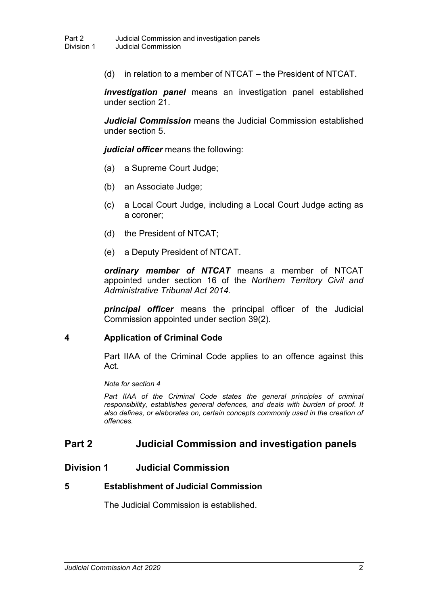(d) in relation to a member of NTCAT – the President of NTCAT.

*investigation panel* means an investigation panel established under section 21.

*Judicial Commission* means the Judicial Commission established under section 5.

*judicial officer* means the following:

- (a) a Supreme Court Judge;
- (b) an Associate Judge;
- (c) a Local Court Judge, including a Local Court Judge acting as a coroner;
- (d) the President of NTCAT;
- (e) a Deputy President of NTCAT.

*ordinary member of NTCAT* means a member of NTCAT appointed under section 16 of the *Northern Territory Civil and Administrative Tribunal Act 2014*.

*principal officer* means the principal officer of the Judicial Commission appointed under section 39(2).

#### **4 Application of Criminal Code**

Part IIAA of the Criminal Code applies to an offence against this Act.

*Note for section 4*

Part IIAA of the Criminal Code states the general principles of criminal *responsibility, establishes general defences, and deals with burden of proof. It also defines, or elaborates on, certain concepts commonly used in the creation of offences.*

## **Part 2 Judicial Commission and investigation panels**

## **Division 1 Judicial Commission**

#### **5 Establishment of Judicial Commission**

The Judicial Commission is established.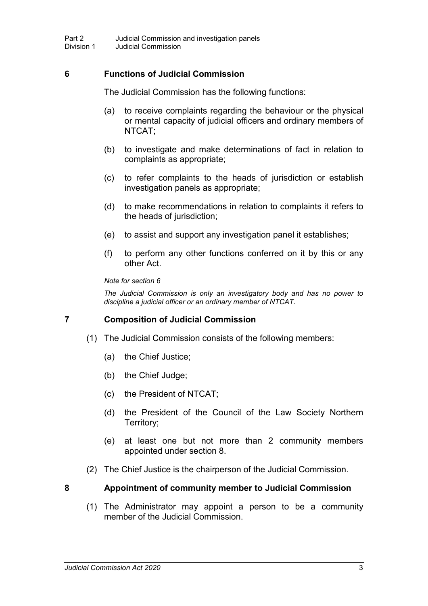## **6 Functions of Judicial Commission**

The Judicial Commission has the following functions:

- (a) to receive complaints regarding the behaviour or the physical or mental capacity of judicial officers and ordinary members of NTCAT;
- (b) to investigate and make determinations of fact in relation to complaints as appropriate;
- (c) to refer complaints to the heads of jurisdiction or establish investigation panels as appropriate;
- (d) to make recommendations in relation to complaints it refers to the heads of jurisdiction;
- (e) to assist and support any investigation panel it establishes;
- (f) to perform any other functions conferred on it by this or any other Act.

*Note for section 6*

*The Judicial Commission is only an investigatory body and has no power to discipline a judicial officer or an ordinary member of NTCAT.*

## **7 Composition of Judicial Commission**

- (1) The Judicial Commission consists of the following members:
	- (a) the Chief Justice;
	- (b) the Chief Judge;
	- (c) the President of NTCAT;
	- (d) the President of the Council of the Law Society Northern Territory;
	- (e) at least one but not more than 2 community members appointed under section 8.
- (2) The Chief Justice is the chairperson of the Judicial Commission.

#### **8 Appointment of community member to Judicial Commission**

(1) The Administrator may appoint a person to be a community member of the Judicial Commission.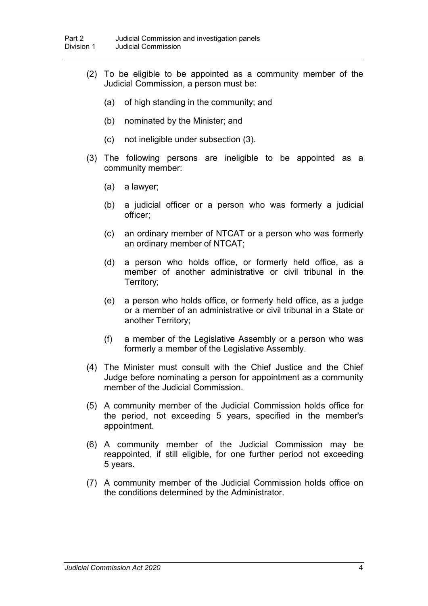- (2) To be eligible to be appointed as a community member of the Judicial Commission, a person must be:
	- (a) of high standing in the community; and
	- (b) nominated by the Minister; and
	- (c) not ineligible under subsection (3).
- (3) The following persons are ineligible to be appointed as a community member:
	- (a) a lawyer;
	- (b) a judicial officer or a person who was formerly a judicial officer;
	- (c) an ordinary member of NTCAT or a person who was formerly an ordinary member of NTCAT;
	- (d) a person who holds office, or formerly held office, as a member of another administrative or civil tribunal in the Territory;
	- (e) a person who holds office, or formerly held office, as a judge or a member of an administrative or civil tribunal in a State or another Territory;
	- (f) a member of the Legislative Assembly or a person who was formerly a member of the Legislative Assembly.
- (4) The Minister must consult with the Chief Justice and the Chief Judge before nominating a person for appointment as a community member of the Judicial Commission.
- (5) A community member of the Judicial Commission holds office for the period, not exceeding 5 years, specified in the member's appointment.
- (6) A community member of the Judicial Commission may be reappointed, if still eligible, for one further period not exceeding 5 years.
- (7) A community member of the Judicial Commission holds office on the conditions determined by the Administrator.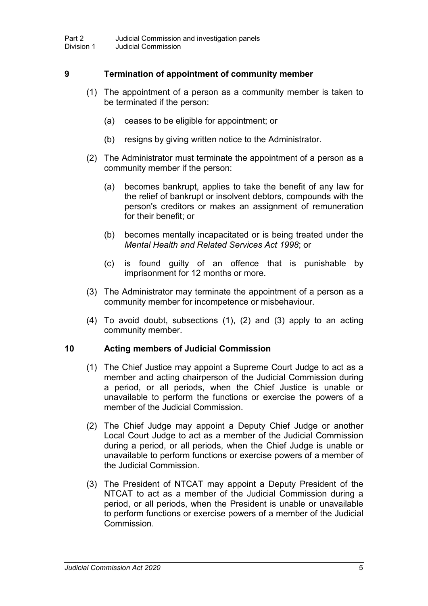## **9 Termination of appointment of community member**

- (1) The appointment of a person as a community member is taken to be terminated if the person:
	- (a) ceases to be eligible for appointment; or
	- (b) resigns by giving written notice to the Administrator.
- (2) The Administrator must terminate the appointment of a person as a community member if the person:
	- (a) becomes bankrupt, applies to take the benefit of any law for the relief of bankrupt or insolvent debtors, compounds with the person's creditors or makes an assignment of remuneration for their benefit; or
	- (b) becomes mentally incapacitated or is being treated under the *Mental Health and Related Services Act 1998*; or
	- (c) is found guilty of an offence that is punishable by imprisonment for 12 months or more.
- (3) The Administrator may terminate the appointment of a person as a community member for incompetence or misbehaviour.
- (4) To avoid doubt, subsections (1), (2) and (3) apply to an acting community member.

#### **10 Acting members of Judicial Commission**

- (1) The Chief Justice may appoint a Supreme Court Judge to act as a member and acting chairperson of the Judicial Commission during a period, or all periods, when the Chief Justice is unable or unavailable to perform the functions or exercise the powers of a member of the Judicial Commission.
- (2) The Chief Judge may appoint a Deputy Chief Judge or another Local Court Judge to act as a member of the Judicial Commission during a period, or all periods, when the Chief Judge is unable or unavailable to perform functions or exercise powers of a member of the Judicial Commission.
- (3) The President of NTCAT may appoint a Deputy President of the NTCAT to act as a member of the Judicial Commission during a period, or all periods, when the President is unable or unavailable to perform functions or exercise powers of a member of the Judicial Commission.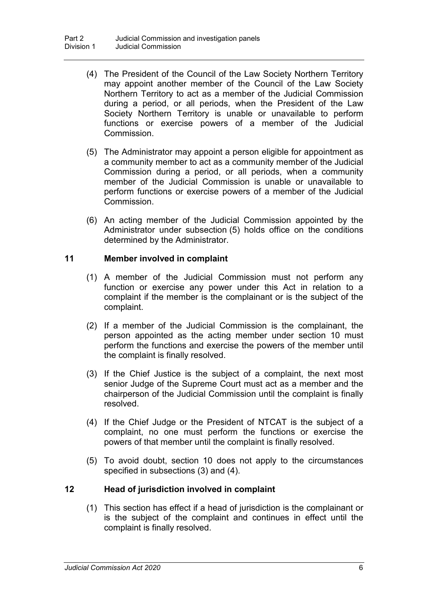- (4) The President of the Council of the Law Society Northern Territory may appoint another member of the Council of the Law Society Northern Territory to act as a member of the Judicial Commission during a period, or all periods, when the President of the Law Society Northern Territory is unable or unavailable to perform functions or exercise powers of a member of the Judicial Commission.
- (5) The Administrator may appoint a person eligible for appointment as a community member to act as a community member of the Judicial Commission during a period, or all periods, when a community member of the Judicial Commission is unable or unavailable to perform functions or exercise powers of a member of the Judicial Commission.
- (6) An acting member of the Judicial Commission appointed by the Administrator under subsection (5) holds office on the conditions determined by the Administrator.

## **11 Member involved in complaint**

- (1) A member of the Judicial Commission must not perform any function or exercise any power under this Act in relation to a complaint if the member is the complainant or is the subject of the complaint.
- (2) If a member of the Judicial Commission is the complainant, the person appointed as the acting member under section 10 must perform the functions and exercise the powers of the member until the complaint is finally resolved.
- (3) If the Chief Justice is the subject of a complaint, the next most senior Judge of the Supreme Court must act as a member and the chairperson of the Judicial Commission until the complaint is finally resolved.
- (4) If the Chief Judge or the President of NTCAT is the subject of a complaint, no one must perform the functions or exercise the powers of that member until the complaint is finally resolved.
- (5) To avoid doubt, section 10 does not apply to the circumstances specified in subsections (3) and (4).

## **12 Head of jurisdiction involved in complaint**

(1) This section has effect if a head of jurisdiction is the complainant or is the subject of the complaint and continues in effect until the complaint is finally resolved.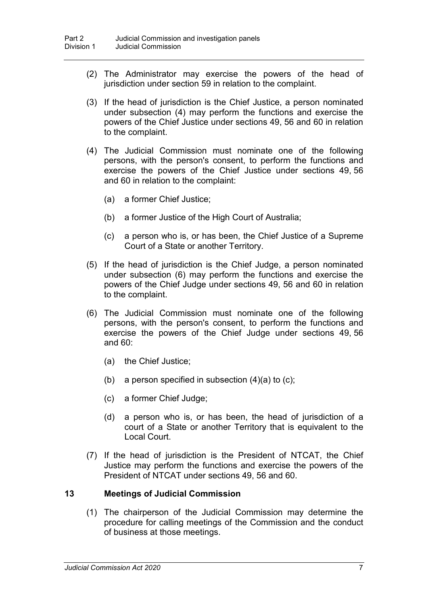- (2) The Administrator may exercise the powers of the head of jurisdiction under section 59 in relation to the complaint.
- (3) If the head of jurisdiction is the Chief Justice, a person nominated under subsection (4) may perform the functions and exercise the powers of the Chief Justice under sections 49, 56 and 60 in relation to the complaint.
- (4) The Judicial Commission must nominate one of the following persons, with the person's consent, to perform the functions and exercise the powers of the Chief Justice under sections 49, 56 and 60 in relation to the complaint:
	- (a) a former Chief Justice;
	- (b) a former Justice of the High Court of Australia;
	- (c) a person who is, or has been, the Chief Justice of a Supreme Court of a State or another Territory.
- (5) If the head of jurisdiction is the Chief Judge, a person nominated under subsection (6) may perform the functions and exercise the powers of the Chief Judge under sections 49, 56 and 60 in relation to the complaint.
- (6) The Judicial Commission must nominate one of the following persons, with the person's consent, to perform the functions and exercise the powers of the Chief Judge under sections 49, 56 and 60:
	- (a) the Chief Justice;
	- (b) a person specified in subsection  $(4)(a)$  to  $(c)$ ;
	- (c) a former Chief Judge;
	- (d) a person who is, or has been, the head of jurisdiction of a court of a State or another Territory that is equivalent to the Local Court.
- (7) If the head of jurisdiction is the President of NTCAT, the Chief Justice may perform the functions and exercise the powers of the President of NTCAT under sections 49, 56 and 60.

#### **13 Meetings of Judicial Commission**

(1) The chairperson of the Judicial Commission may determine the procedure for calling meetings of the Commission and the conduct of business at those meetings.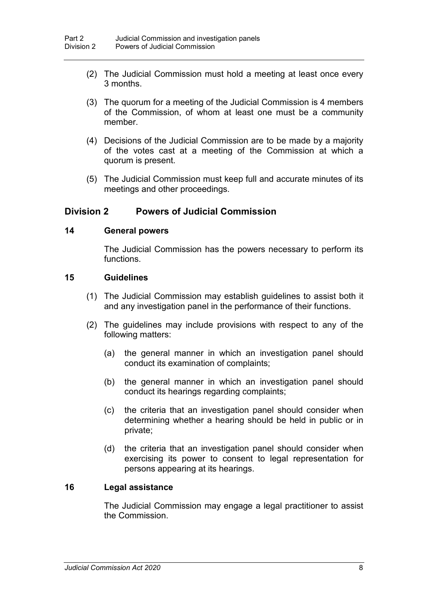- (2) The Judicial Commission must hold a meeting at least once every 3 months.
- (3) The quorum for a meeting of the Judicial Commission is 4 members of the Commission, of whom at least one must be a community member.
- (4) Decisions of the Judicial Commission are to be made by a majority of the votes cast at a meeting of the Commission at which a quorum is present.
- (5) The Judicial Commission must keep full and accurate minutes of its meetings and other proceedings.

## **Division 2 Powers of Judicial Commission**

#### **14 General powers**

The Judicial Commission has the powers necessary to perform its functions.

#### **15 Guidelines**

- (1) The Judicial Commission may establish guidelines to assist both it and any investigation panel in the performance of their functions.
- (2) The guidelines may include provisions with respect to any of the following matters:
	- (a) the general manner in which an investigation panel should conduct its examination of complaints;
	- (b) the general manner in which an investigation panel should conduct its hearings regarding complaints;
	- (c) the criteria that an investigation panel should consider when determining whether a hearing should be held in public or in private;
	- (d) the criteria that an investigation panel should consider when exercising its power to consent to legal representation for persons appearing at its hearings.

#### **16 Legal assistance**

The Judicial Commission may engage a legal practitioner to assist the Commission.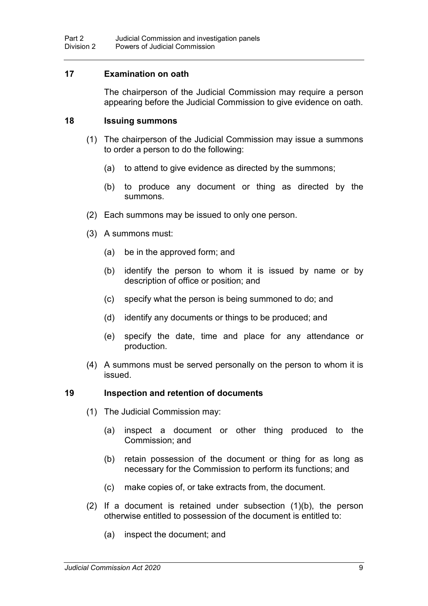#### **17 Examination on oath**

The chairperson of the Judicial Commission may require a person appearing before the Judicial Commission to give evidence on oath.

#### **18 Issuing summons**

- (1) The chairperson of the Judicial Commission may issue a summons to order a person to do the following:
	- (a) to attend to give evidence as directed by the summons;
	- (b) to produce any document or thing as directed by the summons.
- (2) Each summons may be issued to only one person.
- (3) A summons must:
	- (a) be in the approved form; and
	- (b) identify the person to whom it is issued by name or by description of office or position; and
	- (c) specify what the person is being summoned to do; and
	- (d) identify any documents or things to be produced; and
	- (e) specify the date, time and place for any attendance or production.
- (4) A summons must be served personally on the person to whom it is issued.

#### **19 Inspection and retention of documents**

- (1) The Judicial Commission may:
	- (a) inspect a document or other thing produced to the Commission; and
	- (b) retain possession of the document or thing for as long as necessary for the Commission to perform its functions; and
	- (c) make copies of, or take extracts from, the document.
- (2) If a document is retained under subsection (1)(b), the person otherwise entitled to possession of the document is entitled to:
	- (a) inspect the document; and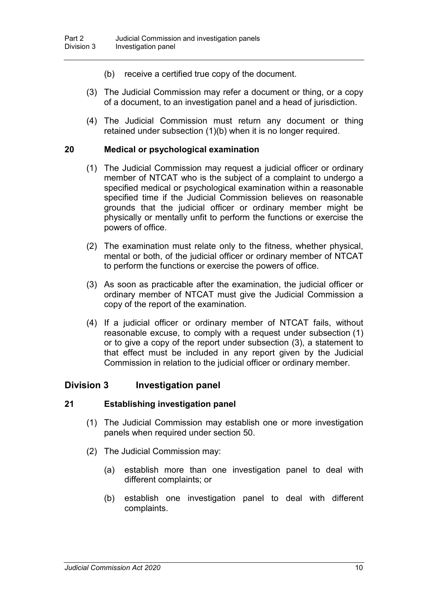- (b) receive a certified true copy of the document.
- (3) The Judicial Commission may refer a document or thing, or a copy of a document, to an investigation panel and a head of jurisdiction.
- (4) The Judicial Commission must return any document or thing retained under subsection (1)(b) when it is no longer required.

#### **20 Medical or psychological examination**

- (1) The Judicial Commission may request a judicial officer or ordinary member of NTCAT who is the subject of a complaint to undergo a specified medical or psychological examination within a reasonable specified time if the Judicial Commission believes on reasonable grounds that the judicial officer or ordinary member might be physically or mentally unfit to perform the functions or exercise the powers of office.
- (2) The examination must relate only to the fitness, whether physical, mental or both, of the judicial officer or ordinary member of NTCAT to perform the functions or exercise the powers of office.
- (3) As soon as practicable after the examination, the judicial officer or ordinary member of NTCAT must give the Judicial Commission a copy of the report of the examination.
- (4) If a judicial officer or ordinary member of NTCAT fails, without reasonable excuse, to comply with a request under subsection (1) or to give a copy of the report under subsection (3), a statement to that effect must be included in any report given by the Judicial Commission in relation to the judicial officer or ordinary member.

#### **Division 3 Investigation panel**

#### **21 Establishing investigation panel**

- (1) The Judicial Commission may establish one or more investigation panels when required under section 50.
- (2) The Judicial Commission may:
	- (a) establish more than one investigation panel to deal with different complaints; or
	- (b) establish one investigation panel to deal with different complaints.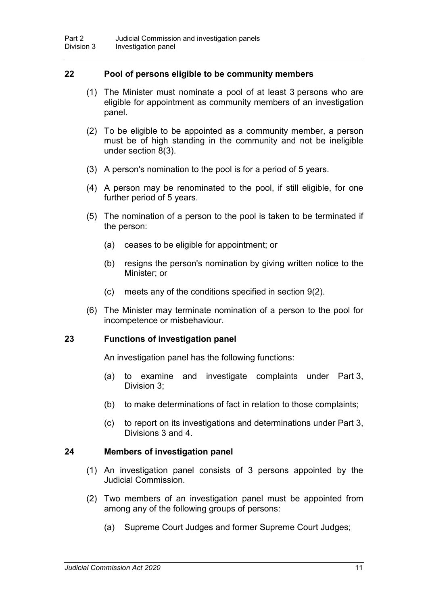#### **22 Pool of persons eligible to be community members**

- (1) The Minister must nominate a pool of at least 3 persons who are eligible for appointment as community members of an investigation panel.
- (2) To be eligible to be appointed as a community member, a person must be of high standing in the community and not be ineligible under section 8(3).
- (3) A person's nomination to the pool is for a period of 5 years.
- (4) A person may be renominated to the pool, if still eligible, for one further period of 5 years.
- (5) The nomination of a person to the pool is taken to be terminated if the person:
	- (a) ceases to be eligible for appointment; or
	- (b) resigns the person's nomination by giving written notice to the Minister; or
	- (c) meets any of the conditions specified in section 9(2).
- (6) The Minister may terminate nomination of a person to the pool for incompetence or misbehaviour.

#### **23 Functions of investigation panel**

An investigation panel has the following functions:

- (a) to examine and investigate complaints under Part 3, Division 3;
- (b) to make determinations of fact in relation to those complaints;
- (c) to report on its investigations and determinations under Part 3, Divisions 3 and 4.

#### **24 Members of investigation panel**

- (1) An investigation panel consists of 3 persons appointed by the Judicial Commission.
- (2) Two members of an investigation panel must be appointed from among any of the following groups of persons:
	- (a) Supreme Court Judges and former Supreme Court Judges;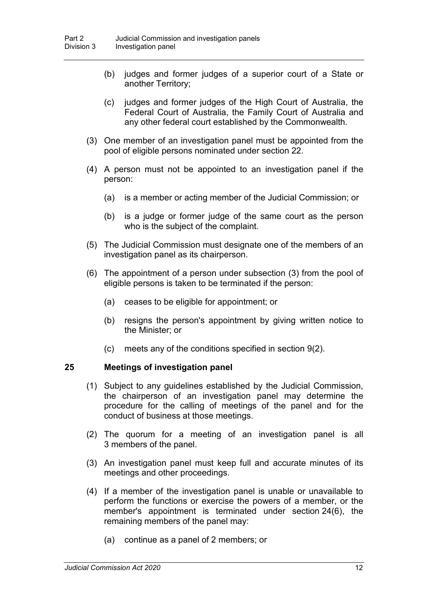- (b) judges and former judges of a superior court of a State or another Territory;
- (c) judges and former judges of the High Court of Australia, the Federal Court of Australia, the Family Court of Australia and any other federal court established by the Commonwealth.
- (3) One member of an investigation panel must be appointed from the pool of eligible persons nominated under section 22.
- (4) A person must not be appointed to an investigation panel if the person:
	- (a) is a member or acting member of the Judicial Commission; or
	- (b) is a judge or former judge of the same court as the person who is the subject of the complaint.
- (5) The Judicial Commission must designate one of the members of an investigation panel as its chairperson.
- (6) The appointment of a person under subsection (3) from the pool of eligible persons is taken to be terminated if the person:
	- (a) ceases to be eligible for appointment; or
	- (b) resigns the person's appointment by giving written notice to the Minister; or
	- (c) meets any of the conditions specified in section 9(2).

#### **25 Meetings of investigation panel**

- (1) Subject to any guidelines established by the Judicial Commission, the chairperson of an investigation panel may determine the procedure for the calling of meetings of the panel and for the conduct of business at those meetings.
- (2) The quorum for a meeting of an investigation panel is all 3 members of the panel.
- (3) An investigation panel must keep full and accurate minutes of its meetings and other proceedings.
- (4) If a member of the investigation panel is unable or unavailable to perform the functions or exercise the powers of a member, or the member's appointment is terminated under section 24(6), the remaining members of the panel may:
	- (a) continue as a panel of 2 members; or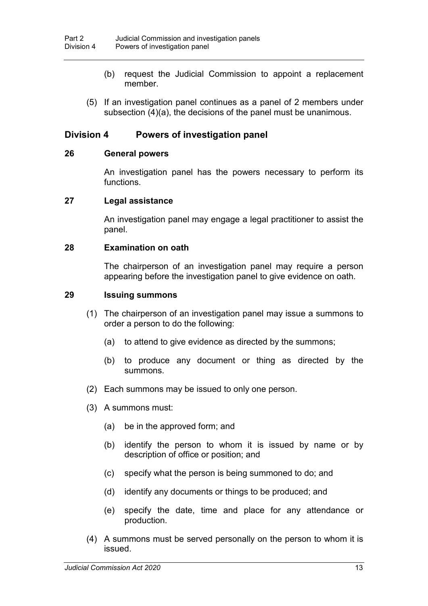- (b) request the Judicial Commission to appoint a replacement member.
- (5) If an investigation panel continues as a panel of 2 members under subsection (4)(a), the decisions of the panel must be unanimous.

## **Division 4 Powers of investigation panel**

#### **26 General powers**

An investigation panel has the powers necessary to perform its functions.

#### **27 Legal assistance**

An investigation panel may engage a legal practitioner to assist the panel.

#### **28 Examination on oath**

The chairperson of an investigation panel may require a person appearing before the investigation panel to give evidence on oath.

#### **29 Issuing summons**

- (1) The chairperson of an investigation panel may issue a summons to order a person to do the following:
	- (a) to attend to give evidence as directed by the summons;
	- (b) to produce any document or thing as directed by the summons.
- (2) Each summons may be issued to only one person.
- (3) A summons must:
	- (a) be in the approved form; and
	- (b) identify the person to whom it is issued by name or by description of office or position; and
	- (c) specify what the person is being summoned to do; and
	- (d) identify any documents or things to be produced; and
	- (e) specify the date, time and place for any attendance or production.
- (4) A summons must be served personally on the person to whom it is issued.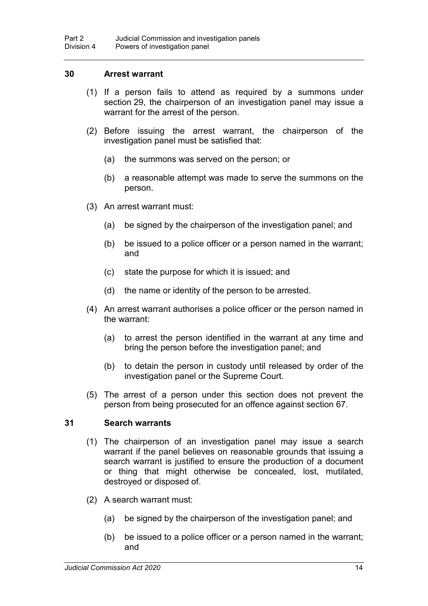#### **30 Arrest warrant**

- (1) If a person fails to attend as required by a summons under section 29, the chairperson of an investigation panel may issue a warrant for the arrest of the person.
- (2) Before issuing the arrest warrant, the chairperson of the investigation panel must be satisfied that:
	- (a) the summons was served on the person; or
	- (b) a reasonable attempt was made to serve the summons on the person.
- (3) An arrest warrant must:
	- (a) be signed by the chairperson of the investigation panel; and
	- (b) be issued to a police officer or a person named in the warrant; and
	- (c) state the purpose for which it is issued; and
	- (d) the name or identity of the person to be arrested.
- (4) An arrest warrant authorises a police officer or the person named in the warrant:
	- (a) to arrest the person identified in the warrant at any time and bring the person before the investigation panel; and
	- (b) to detain the person in custody until released by order of the investigation panel or the Supreme Court.
- (5) The arrest of a person under this section does not prevent the person from being prosecuted for an offence against section 67.

#### **31 Search warrants**

- (1) The chairperson of an investigation panel may issue a search warrant if the panel believes on reasonable grounds that issuing a search warrant is justified to ensure the production of a document or thing that might otherwise be concealed, lost, mutilated, destroyed or disposed of.
- (2) A search warrant must:
	- (a) be signed by the chairperson of the investigation panel; and
	- (b) be issued to a police officer or a person named in the warrant; and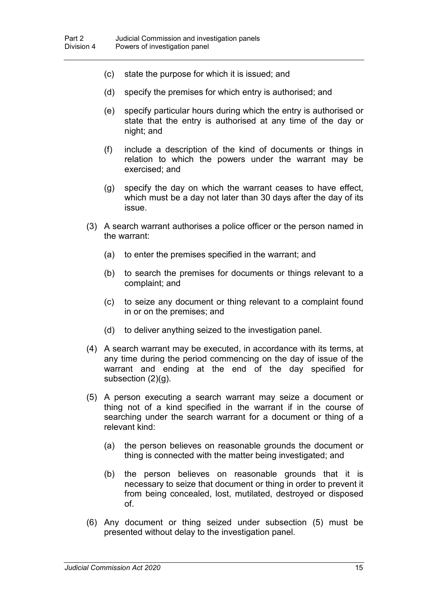- (c) state the purpose for which it is issued; and
- (d) specify the premises for which entry is authorised; and
- (e) specify particular hours during which the entry is authorised or state that the entry is authorised at any time of the day or night; and
- (f) include a description of the kind of documents or things in relation to which the powers under the warrant may be exercised; and
- (g) specify the day on which the warrant ceases to have effect, which must be a day not later than 30 days after the day of its issue.
- (3) A search warrant authorises a police officer or the person named in the warrant:
	- (a) to enter the premises specified in the warrant; and
	- (b) to search the premises for documents or things relevant to a complaint; and
	- (c) to seize any document or thing relevant to a complaint found in or on the premises; and
	- (d) to deliver anything seized to the investigation panel.
- (4) A search warrant may be executed, in accordance with its terms, at any time during the period commencing on the day of issue of the warrant and ending at the end of the day specified for subsection (2)(g).
- (5) A person executing a search warrant may seize a document or thing not of a kind specified in the warrant if in the course of searching under the search warrant for a document or thing of a relevant kind:
	- (a) the person believes on reasonable grounds the document or thing is connected with the matter being investigated; and
	- (b) the person believes on reasonable grounds that it is necessary to seize that document or thing in order to prevent it from being concealed, lost, mutilated, destroyed or disposed of.
- (6) Any document or thing seized under subsection (5) must be presented without delay to the investigation panel.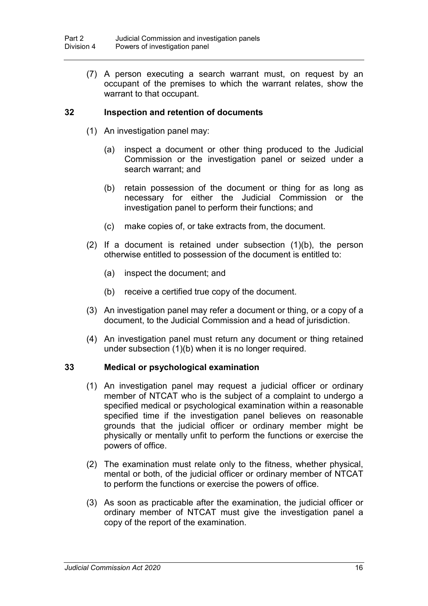(7) A person executing a search warrant must, on request by an occupant of the premises to which the warrant relates, show the warrant to that occupant.

## **32 Inspection and retention of documents**

- (1) An investigation panel may:
	- (a) inspect a document or other thing produced to the Judicial Commission or the investigation panel or seized under a search warrant; and
	- (b) retain possession of the document or thing for as long as necessary for either the Judicial Commission or the investigation panel to perform their functions; and
	- (c) make copies of, or take extracts from, the document.
- (2) If a document is retained under subsection (1)(b), the person otherwise entitled to possession of the document is entitled to:
	- (a) inspect the document; and
	- (b) receive a certified true copy of the document.
- (3) An investigation panel may refer a document or thing, or a copy of a document, to the Judicial Commission and a head of jurisdiction.
- (4) An investigation panel must return any document or thing retained under subsection (1)(b) when it is no longer required.

#### **33 Medical or psychological examination**

- (1) An investigation panel may request a judicial officer or ordinary member of NTCAT who is the subject of a complaint to undergo a specified medical or psychological examination within a reasonable specified time if the investigation panel believes on reasonable grounds that the judicial officer or ordinary member might be physically or mentally unfit to perform the functions or exercise the powers of office.
- (2) The examination must relate only to the fitness, whether physical, mental or both, of the judicial officer or ordinary member of NTCAT to perform the functions or exercise the powers of office.
- (3) As soon as practicable after the examination, the judicial officer or ordinary member of NTCAT must give the investigation panel a copy of the report of the examination.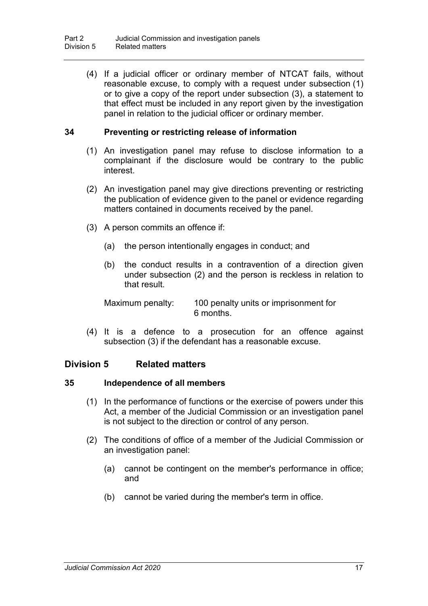(4) If a judicial officer or ordinary member of NTCAT fails, without reasonable excuse, to comply with a request under subsection (1) or to give a copy of the report under subsection (3), a statement to that effect must be included in any report given by the investigation panel in relation to the judicial officer or ordinary member.

#### **34 Preventing or restricting release of information**

- (1) An investigation panel may refuse to disclose information to a complainant if the disclosure would be contrary to the public interest.
- (2) An investigation panel may give directions preventing or restricting the publication of evidence given to the panel or evidence regarding matters contained in documents received by the panel.
- (3) A person commits an offence if:
	- (a) the person intentionally engages in conduct; and
	- (b) the conduct results in a contravention of a direction given under subsection (2) and the person is reckless in relation to that result.

Maximum penalty: 100 penalty units or imprisonment for 6 months.

(4) It is a defence to a prosecution for an offence against subsection (3) if the defendant has a reasonable excuse.

## **Division 5 Related matters**

#### **35 Independence of all members**

- (1) In the performance of functions or the exercise of powers under this Act, a member of the Judicial Commission or an investigation panel is not subject to the direction or control of any person.
- (2) The conditions of office of a member of the Judicial Commission or an investigation panel:
	- (a) cannot be contingent on the member's performance in office; and
	- (b) cannot be varied during the member's term in office.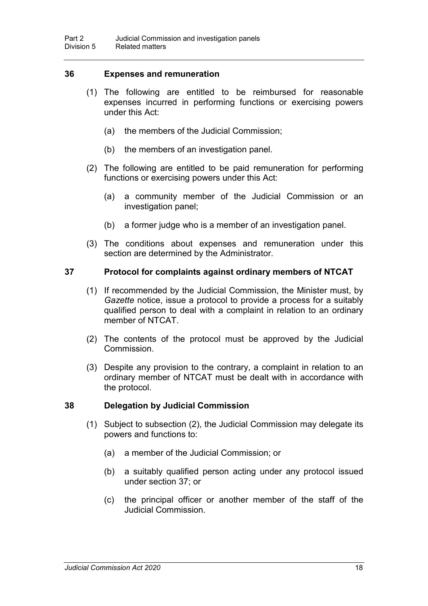#### **36 Expenses and remuneration**

- (1) The following are entitled to be reimbursed for reasonable expenses incurred in performing functions or exercising powers under this Act:
	- (a) the members of the Judicial Commission;
	- (b) the members of an investigation panel.
- (2) The following are entitled to be paid remuneration for performing functions or exercising powers under this Act:
	- (a) a community member of the Judicial Commission or an investigation panel;
	- (b) a former judge who is a member of an investigation panel.
- (3) The conditions about expenses and remuneration under this section are determined by the Administrator.

#### **37 Protocol for complaints against ordinary members of NTCAT**

- (1) If recommended by the Judicial Commission, the Minister must, by *Gazette* notice, issue a protocol to provide a process for a suitably qualified person to deal with a complaint in relation to an ordinary member of NTCAT.
- (2) The contents of the protocol must be approved by the Judicial Commission.
- (3) Despite any provision to the contrary, a complaint in relation to an ordinary member of NTCAT must be dealt with in accordance with the protocol.

#### **38 Delegation by Judicial Commission**

- (1) Subject to subsection (2), the Judicial Commission may delegate its powers and functions to:
	- (a) a member of the Judicial Commission; or
	- (b) a suitably qualified person acting under any protocol issued under section 37; or
	- (c) the principal officer or another member of the staff of the Judicial Commission.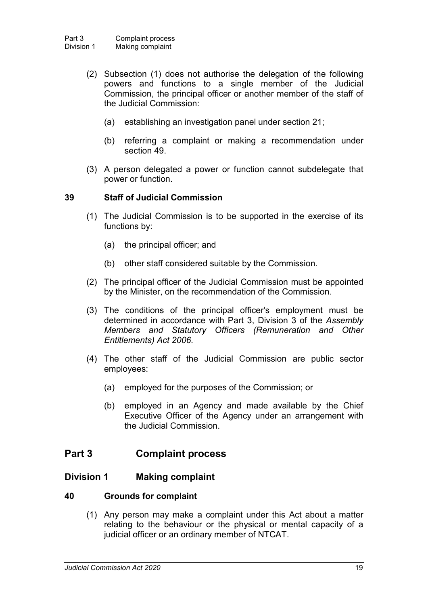- (2) Subsection (1) does not authorise the delegation of the following powers and functions to a single member of the Judicial Commission, the principal officer or another member of the staff of the Judicial Commission:
	- (a) establishing an investigation panel under section 21;
	- (b) referring a complaint or making a recommendation under section 49.
- (3) A person delegated a power or function cannot subdelegate that power or function.

#### **39 Staff of Judicial Commission**

- (1) The Judicial Commission is to be supported in the exercise of its functions by:
	- (a) the principal officer; and
	- (b) other staff considered suitable by the Commission.
- (2) The principal officer of the Judicial Commission must be appointed by the Minister, on the recommendation of the Commission.
- (3) The conditions of the principal officer's employment must be determined in accordance with Part 3, Division 3 of the *Assembly Members and Statutory Officers (Remuneration and Other Entitlements) Act 2006*.
- (4) The other staff of the Judicial Commission are public sector employees:
	- (a) employed for the purposes of the Commission; or
	- (b) employed in an Agency and made available by the Chief Executive Officer of the Agency under an arrangement with the Judicial Commission.

## **Part 3 Complaint process**

#### **Division 1 Making complaint**

#### **40 Grounds for complaint**

(1) Any person may make a complaint under this Act about a matter relating to the behaviour or the physical or mental capacity of a judicial officer or an ordinary member of NTCAT.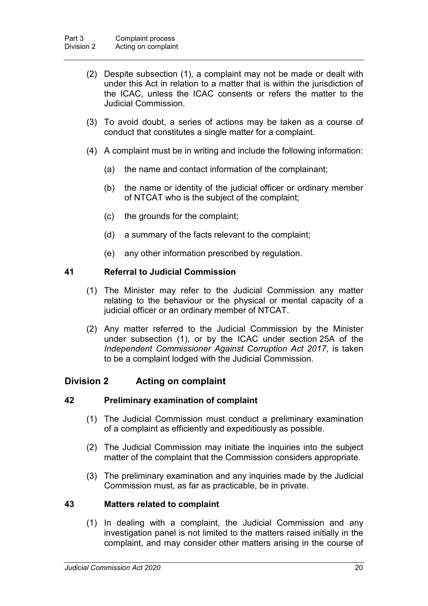- (2) Despite subsection (1), a complaint may not be made or dealt with under this Act in relation to a matter that is within the jurisdiction of the ICAC, unless the ICAC consents or refers the matter to the Judicial Commission.
- (3) To avoid doubt, a series of actions may be taken as a course of conduct that constitutes a single matter for a complaint.
- (4) A complaint must be in writing and include the following information:
	- (a) the name and contact information of the complainant;
	- (b) the name or identity of the judicial officer or ordinary member of NTCAT who is the subject of the complaint;
	- (c) the grounds for the complaint;
	- (d) a summary of the facts relevant to the complaint;
	- (e) any other information prescribed by regulation.

#### **41 Referral to Judicial Commission**

- (1) The Minister may refer to the Judicial Commission any matter relating to the behaviour or the physical or mental capacity of a judicial officer or an ordinary member of NTCAT.
- (2) Any matter referred to the Judicial Commission by the Minister under subsection (1), or by the ICAC under section 25A of the *Independent Commissioner Against Corruption Act 2017*, is taken to be a complaint lodged with the Judicial Commission.

## **Division 2 Acting on complaint**

#### **42 Preliminary examination of complaint**

- (1) The Judicial Commission must conduct a preliminary examination of a complaint as efficiently and expeditiously as possible.
- (2) The Judicial Commission may initiate the inquiries into the subject matter of the complaint that the Commission considers appropriate.
- (3) The preliminary examination and any inquiries made by the Judicial Commission must, as far as practicable, be in private.

#### **43 Matters related to complaint**

(1) In dealing with a complaint, the Judicial Commission and any investigation panel is not limited to the matters raised initially in the complaint, and may consider other matters arising in the course of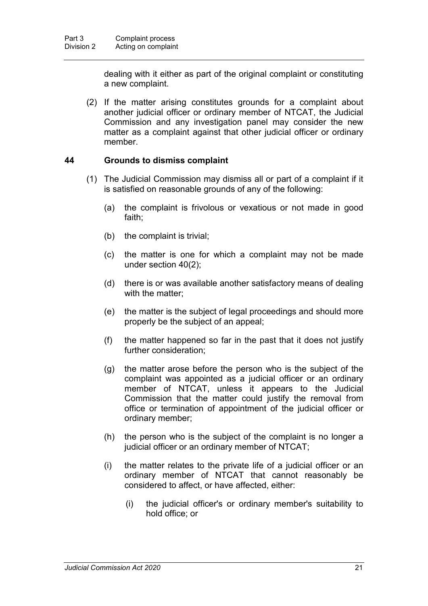dealing with it either as part of the original complaint or constituting a new complaint.

(2) If the matter arising constitutes grounds for a complaint about another judicial officer or ordinary member of NTCAT, the Judicial Commission and any investigation panel may consider the new matter as a complaint against that other judicial officer or ordinary member.

## **44 Grounds to dismiss complaint**

- (1) The Judicial Commission may dismiss all or part of a complaint if it is satisfied on reasonable grounds of any of the following:
	- (a) the complaint is frivolous or vexatious or not made in good faith;
	- (b) the complaint is trivial;
	- (c) the matter is one for which a complaint may not be made under section 40(2);
	- (d) there is or was available another satisfactory means of dealing with the matter;
	- (e) the matter is the subject of legal proceedings and should more properly be the subject of an appeal;
	- (f) the matter happened so far in the past that it does not justify further consideration;
	- (g) the matter arose before the person who is the subject of the complaint was appointed as a judicial officer or an ordinary member of NTCAT, unless it appears to the Judicial Commission that the matter could justify the removal from office or termination of appointment of the judicial officer or ordinary member;
	- (h) the person who is the subject of the complaint is no longer a judicial officer or an ordinary member of NTCAT;
	- (i) the matter relates to the private life of a judicial officer or an ordinary member of NTCAT that cannot reasonably be considered to affect, or have affected, either:
		- (i) the judicial officer's or ordinary member's suitability to hold office; or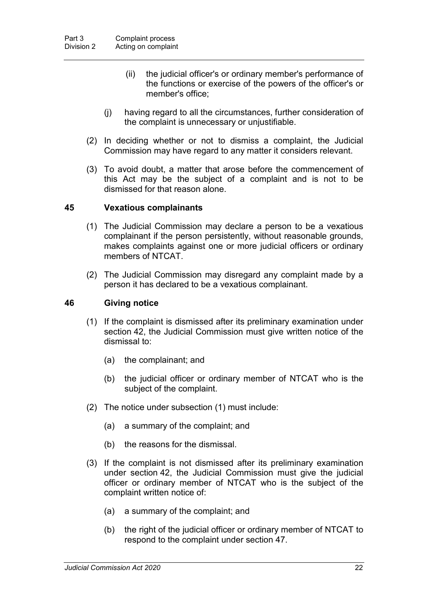- (ii) the judicial officer's or ordinary member's performance of the functions or exercise of the powers of the officer's or member's office;
- (j) having regard to all the circumstances, further consideration of the complaint is unnecessary or unjustifiable.
- (2) In deciding whether or not to dismiss a complaint, the Judicial Commission may have regard to any matter it considers relevant.
- (3) To avoid doubt, a matter that arose before the commencement of this Act may be the subject of a complaint and is not to be dismissed for that reason alone.

#### **45 Vexatious complainants**

- (1) The Judicial Commission may declare a person to be a vexatious complainant if the person persistently, without reasonable grounds, makes complaints against one or more judicial officers or ordinary members of NTCAT.
- (2) The Judicial Commission may disregard any complaint made by a person it has declared to be a vexatious complainant.

#### **46 Giving notice**

- (1) If the complaint is dismissed after its preliminary examination under section 42, the Judicial Commission must give written notice of the dismissal to:
	- (a) the complainant; and
	- (b) the judicial officer or ordinary member of NTCAT who is the subject of the complaint.
- (2) The notice under subsection (1) must include:
	- (a) a summary of the complaint; and
	- (b) the reasons for the dismissal.
- (3) If the complaint is not dismissed after its preliminary examination under section 42, the Judicial Commission must give the judicial officer or ordinary member of NTCAT who is the subject of the complaint written notice of:
	- (a) a summary of the complaint; and
	- (b) the right of the judicial officer or ordinary member of NTCAT to respond to the complaint under section 47.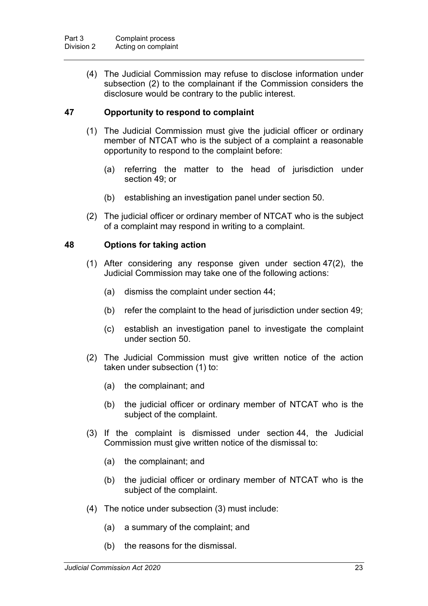(4) The Judicial Commission may refuse to disclose information under subsection (2) to the complainant if the Commission considers the disclosure would be contrary to the public interest.

## **47 Opportunity to respond to complaint**

- (1) The Judicial Commission must give the judicial officer or ordinary member of NTCAT who is the subject of a complaint a reasonable opportunity to respond to the complaint before:
	- (a) referring the matter to the head of jurisdiction under section 49; or
	- (b) establishing an investigation panel under section 50.
- (2) The judicial officer or ordinary member of NTCAT who is the subject of a complaint may respond in writing to a complaint.

## **48 Options for taking action**

- (1) After considering any response given under section 47(2), the Judicial Commission may take one of the following actions:
	- (a) dismiss the complaint under section 44;
	- (b) refer the complaint to the head of jurisdiction under section 49;
	- (c) establish an investigation panel to investigate the complaint under section 50.
- (2) The Judicial Commission must give written notice of the action taken under subsection (1) to:
	- (a) the complainant; and
	- (b) the judicial officer or ordinary member of NTCAT who is the subject of the complaint.
- (3) If the complaint is dismissed under section 44, the Judicial Commission must give written notice of the dismissal to:
	- (a) the complainant; and
	- (b) the judicial officer or ordinary member of NTCAT who is the subject of the complaint.
- (4) The notice under subsection (3) must include:
	- (a) a summary of the complaint; and
	- (b) the reasons for the dismissal.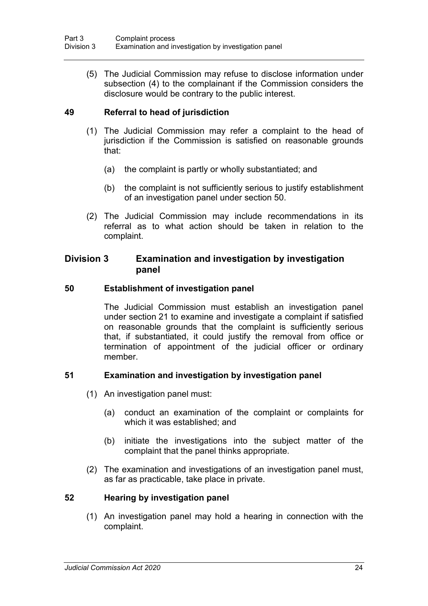(5) The Judicial Commission may refuse to disclose information under subsection (4) to the complainant if the Commission considers the disclosure would be contrary to the public interest.

## **49 Referral to head of jurisdiction**

- (1) The Judicial Commission may refer a complaint to the head of jurisdiction if the Commission is satisfied on reasonable grounds that:
	- (a) the complaint is partly or wholly substantiated; and
	- (b) the complaint is not sufficiently serious to justify establishment of an investigation panel under section 50.
- (2) The Judicial Commission may include recommendations in its referral as to what action should be taken in relation to the complaint.

## **Division 3 Examination and investigation by investigation panel**

#### **50 Establishment of investigation panel**

The Judicial Commission must establish an investigation panel under section 21 to examine and investigate a complaint if satisfied on reasonable grounds that the complaint is sufficiently serious that, if substantiated, it could justify the removal from office or termination of appointment of the judicial officer or ordinary member.

## **51 Examination and investigation by investigation panel**

- (1) An investigation panel must:
	- (a) conduct an examination of the complaint or complaints for which it was established; and
	- (b) initiate the investigations into the subject matter of the complaint that the panel thinks appropriate.
- (2) The examination and investigations of an investigation panel must, as far as practicable, take place in private.

#### **52 Hearing by investigation panel**

(1) An investigation panel may hold a hearing in connection with the complaint.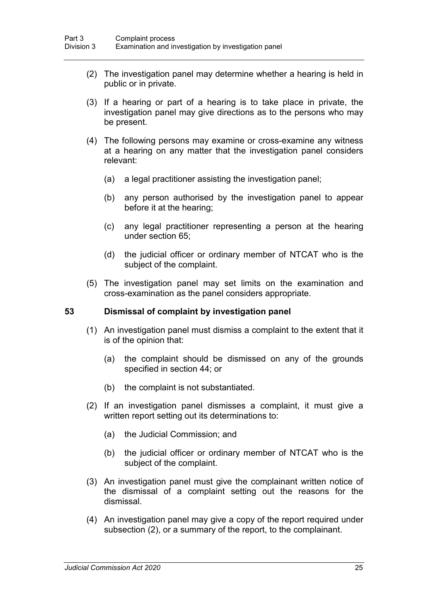- (2) The investigation panel may determine whether a hearing is held in public or in private.
- (3) If a hearing or part of a hearing is to take place in private, the investigation panel may give directions as to the persons who may be present.
- (4) The following persons may examine or cross-examine any witness at a hearing on any matter that the investigation panel considers relevant:
	- (a) a legal practitioner assisting the investigation panel;
	- (b) any person authorised by the investigation panel to appear before it at the hearing;
	- (c) any legal practitioner representing a person at the hearing under section 65;
	- (d) the judicial officer or ordinary member of NTCAT who is the subject of the complaint.
- (5) The investigation panel may set limits on the examination and cross-examination as the panel considers appropriate.

#### **53 Dismissal of complaint by investigation panel**

- (1) An investigation panel must dismiss a complaint to the extent that it is of the opinion that:
	- (a) the complaint should be dismissed on any of the grounds specified in section 44; or
	- (b) the complaint is not substantiated.
- (2) If an investigation panel dismisses a complaint, it must give a written report setting out its determinations to:
	- (a) the Judicial Commission; and
	- (b) the judicial officer or ordinary member of NTCAT who is the subject of the complaint.
- (3) An investigation panel must give the complainant written notice of the dismissal of a complaint setting out the reasons for the dismissal.
- (4) An investigation panel may give a copy of the report required under subsection (2), or a summary of the report, to the complainant.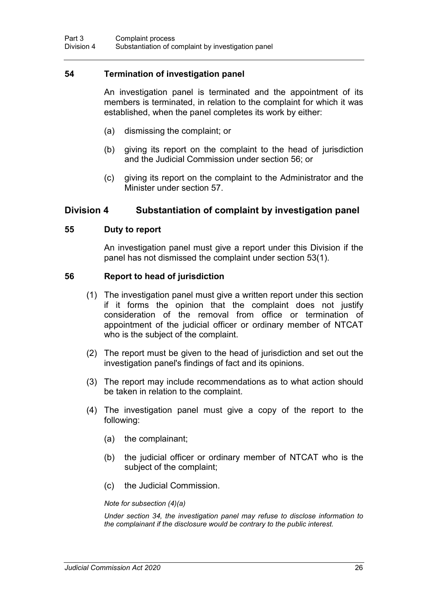#### **54 Termination of investigation panel**

An investigation panel is terminated and the appointment of its members is terminated, in relation to the complaint for which it was established, when the panel completes its work by either:

- (a) dismissing the complaint; or
- (b) giving its report on the complaint to the head of jurisdiction and the Judicial Commission under section 56; or
- (c) giving its report on the complaint to the Administrator and the Minister under section 57.

#### **Division 4 Substantiation of complaint by investigation panel**

#### **55 Duty to report**

An investigation panel must give a report under this Division if the panel has not dismissed the complaint under section 53(1).

#### **56 Report to head of jurisdiction**

- (1) The investigation panel must give a written report under this section if it forms the opinion that the complaint does not justify consideration of the removal from office or termination of appointment of the judicial officer or ordinary member of NTCAT who is the subject of the complaint.
- (2) The report must be given to the head of jurisdiction and set out the investigation panel's findings of fact and its opinions.
- (3) The report may include recommendations as to what action should be taken in relation to the complaint.
- (4) The investigation panel must give a copy of the report to the following:
	- (a) the complainant;
	- (b) the judicial officer or ordinary member of NTCAT who is the subject of the complaint;
	- (c) the Judicial Commission.

#### *Note for subsection (4)(a)*

*Under section 34, the investigation panel may refuse to disclose information to the complainant if the disclosure would be contrary to the public interest.*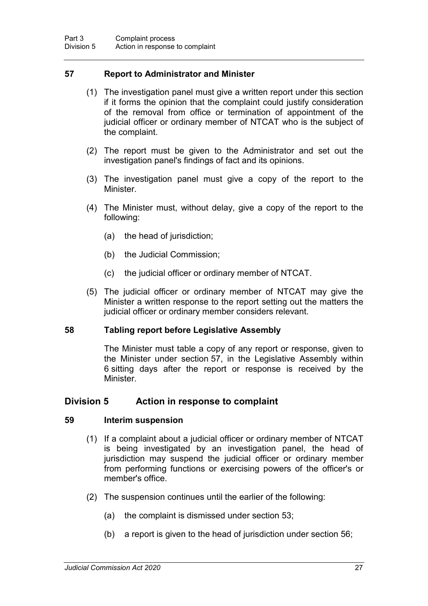## **57 Report to Administrator and Minister**

- (1) The investigation panel must give a written report under this section if it forms the opinion that the complaint could justify consideration of the removal from office or termination of appointment of the judicial officer or ordinary member of NTCAT who is the subject of the complaint.
- (2) The report must be given to the Administrator and set out the investigation panel's findings of fact and its opinions.
- (3) The investigation panel must give a copy of the report to the Minister.
- (4) The Minister must, without delay, give a copy of the report to the following:
	- (a) the head of jurisdiction;
	- (b) the Judicial Commission;
	- (c) the judicial officer or ordinary member of NTCAT.
- (5) The judicial officer or ordinary member of NTCAT may give the Minister a written response to the report setting out the matters the judicial officer or ordinary member considers relevant.

#### **58 Tabling report before Legislative Assembly**

The Minister must table a copy of any report or response, given to the Minister under section 57, in the Legislative Assembly within 6 sitting days after the report or response is received by the Minister.

#### **Division 5 Action in response to complaint**

#### **59 Interim suspension**

- (1) If a complaint about a judicial officer or ordinary member of NTCAT is being investigated by an investigation panel, the head of jurisdiction may suspend the judicial officer or ordinary member from performing functions or exercising powers of the officer's or member's office.
- (2) The suspension continues until the earlier of the following:
	- (a) the complaint is dismissed under section 53;
	- (b) a report is given to the head of jurisdiction under section 56;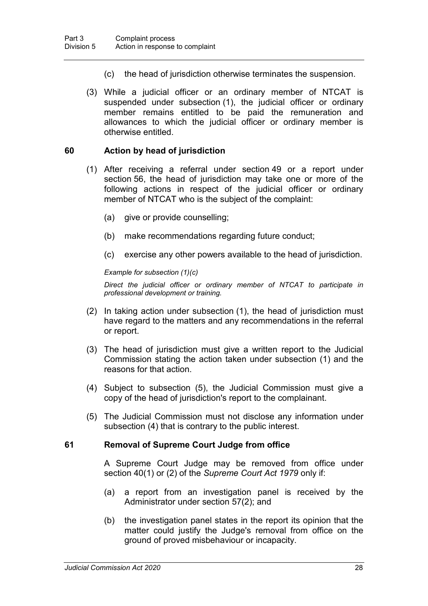- (c) the head of jurisdiction otherwise terminates the suspension.
- (3) While a judicial officer or an ordinary member of NTCAT is suspended under subsection (1), the judicial officer or ordinary member remains entitled to be paid the remuneration and allowances to which the judicial officer or ordinary member is otherwise entitled.

#### **60 Action by head of jurisdiction**

- (1) After receiving a referral under section 49 or a report under section 56, the head of jurisdiction may take one or more of the following actions in respect of the judicial officer or ordinary member of NTCAT who is the subject of the complaint:
	- (a) give or provide counselling;
	- (b) make recommendations regarding future conduct;
	- (c) exercise any other powers available to the head of jurisdiction.

#### *Example for subsection (1)(c)*

*Direct the judicial officer or ordinary member of NTCAT to participate in professional development or training.*

- (2) In taking action under subsection (1), the head of jurisdiction must have regard to the matters and any recommendations in the referral or report.
- (3) The head of jurisdiction must give a written report to the Judicial Commission stating the action taken under subsection (1) and the reasons for that action.
- (4) Subject to subsection (5), the Judicial Commission must give a copy of the head of jurisdiction's report to the complainant.
- (5) The Judicial Commission must not disclose any information under subsection (4) that is contrary to the public interest.

#### **61 Removal of Supreme Court Judge from office**

A Supreme Court Judge may be removed from office under section 40(1) or (2) of the *Supreme Court Act 1979* only if:

- (a) a report from an investigation panel is received by the Administrator under section 57(2); and
- (b) the investigation panel states in the report its opinion that the matter could justify the Judge's removal from office on the ground of proved misbehaviour or incapacity.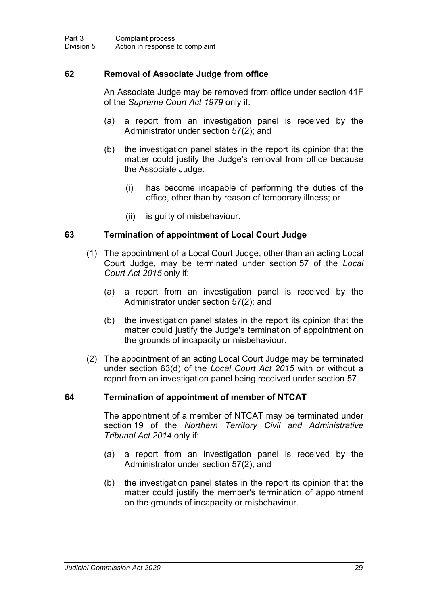## **62 Removal of Associate Judge from office**

An Associate Judge may be removed from office under section 41F of the *Supreme Court Act 1979* only if:

- (a) a report from an investigation panel is received by the Administrator under section 57(2); and
- (b) the investigation panel states in the report its opinion that the matter could justify the Judge's removal from office because the Associate Judge:
	- (i) has become incapable of performing the duties of the office, other than by reason of temporary illness; or
	- (ii) is guilty of misbehaviour.

#### **63 Termination of appointment of Local Court Judge**

- (1) The appointment of a Local Court Judge, other than an acting Local Court Judge, may be terminated under section 57 of the *Local Court Act 2015* only if:
	- (a) a report from an investigation panel is received by the Administrator under section 57(2); and
	- (b) the investigation panel states in the report its opinion that the matter could justify the Judge's termination of appointment on the grounds of incapacity or misbehaviour.
- (2) The appointment of an acting Local Court Judge may be terminated under section 63(d) of the *Local Court Act 2015* with or without a report from an investigation panel being received under section 57.

#### **64 Termination of appointment of member of NTCAT**

The appointment of a member of NTCAT may be terminated under section 19 of the *Northern Territory Civil and Administrative Tribunal Act 2014* only if:

- (a) a report from an investigation panel is received by the Administrator under section 57(2); and
- (b) the investigation panel states in the report its opinion that the matter could justify the member's termination of appointment on the grounds of incapacity or misbehaviour.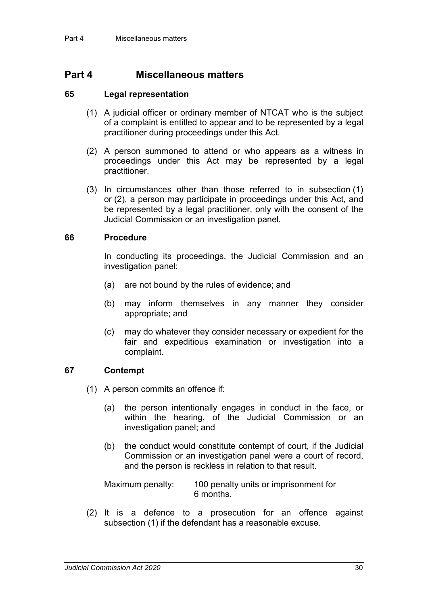## **Part 4 Miscellaneous matters**

#### **65 Legal representation**

- (1) A judicial officer or ordinary member of NTCAT who is the subject of a complaint is entitled to appear and to be represented by a legal practitioner during proceedings under this Act.
- (2) A person summoned to attend or who appears as a witness in proceedings under this Act may be represented by a legal practitioner.
- (3) In circumstances other than those referred to in subsection (1) or (2), a person may participate in proceedings under this Act, and be represented by a legal practitioner, only with the consent of the Judicial Commission or an investigation panel.

#### **66 Procedure**

In conducting its proceedings, the Judicial Commission and an investigation panel:

- (a) are not bound by the rules of evidence; and
- (b) may inform themselves in any manner they consider appropriate; and
- (c) may do whatever they consider necessary or expedient for the fair and expeditious examination or investigation into a complaint.

#### **67 Contempt**

- (1) A person commits an offence if:
	- (a) the person intentionally engages in conduct in the face, or within the hearing, of the Judicial Commission or an investigation panel; and
	- (b) the conduct would constitute contempt of court, if the Judicial Commission or an investigation panel were a court of record, and the person is reckless in relation to that result.

Maximum penalty: 100 penalty units or imprisonment for 6 months.

(2) It is a defence to a prosecution for an offence against subsection (1) if the defendant has a reasonable excuse.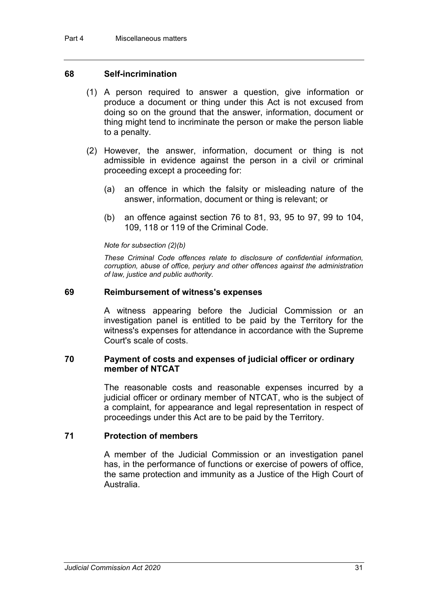#### **68 Self-incrimination**

- (1) A person required to answer a question, give information or produce a document or thing under this Act is not excused from doing so on the ground that the answer, information, document or thing might tend to incriminate the person or make the person liable to a penalty.
- (2) However, the answer, information, document or thing is not admissible in evidence against the person in a civil or criminal proceeding except a proceeding for:
	- (a) an offence in which the falsity or misleading nature of the answer, information, document or thing is relevant; or
	- (b) an offence against section 76 to 81, 93, 95 to 97, 99 to 104, 109, 118 or 119 of the Criminal Code.

#### *Note for subsection (2)(b)*

*These Criminal Code offences relate to disclosure of confidential information, corruption, abuse of office, perjury and other offences against the administration of law, justice and public authority.*

#### **69 Reimbursement of witness's expenses**

A witness appearing before the Judicial Commission or an investigation panel is entitled to be paid by the Territory for the witness's expenses for attendance in accordance with the Supreme Court's scale of costs.

#### **70 Payment of costs and expenses of judicial officer or ordinary member of NTCAT**

The reasonable costs and reasonable expenses incurred by a judicial officer or ordinary member of NTCAT, who is the subject of a complaint, for appearance and legal representation in respect of proceedings under this Act are to be paid by the Territory.

#### **71 Protection of members**

A member of the Judicial Commission or an investigation panel has, in the performance of functions or exercise of powers of office, the same protection and immunity as a Justice of the High Court of Australia.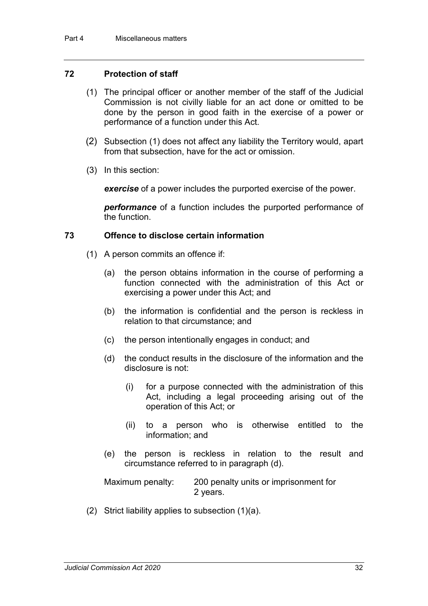#### **72 Protection of staff**

- (1) The principal officer or another member of the staff of the Judicial Commission is not civilly liable for an act done or omitted to be done by the person in good faith in the exercise of a power or performance of a function under this Act.
- (2) Subsection (1) does not affect any liability the Territory would, apart from that subsection, have for the act or omission.
- (3) In this section:

*exercise* of a power includes the purported exercise of the power.

*performance* of a function includes the purported performance of the function.

#### **73 Offence to disclose certain information**

- (1) A person commits an offence if:
	- (a) the person obtains information in the course of performing a function connected with the administration of this Act or exercising a power under this Act; and
	- (b) the information is confidential and the person is reckless in relation to that circumstance; and
	- (c) the person intentionally engages in conduct; and
	- (d) the conduct results in the disclosure of the information and the disclosure is not:
		- (i) for a purpose connected with the administration of this Act, including a legal proceeding arising out of the operation of this Act; or
		- (ii) to a person who is otherwise entitled to the information; and
	- (e) the person is reckless in relation to the result and circumstance referred to in paragraph (d).

Maximum penalty: 200 penalty units or imprisonment for 2 years.

(2) Strict liability applies to subsection (1)(a).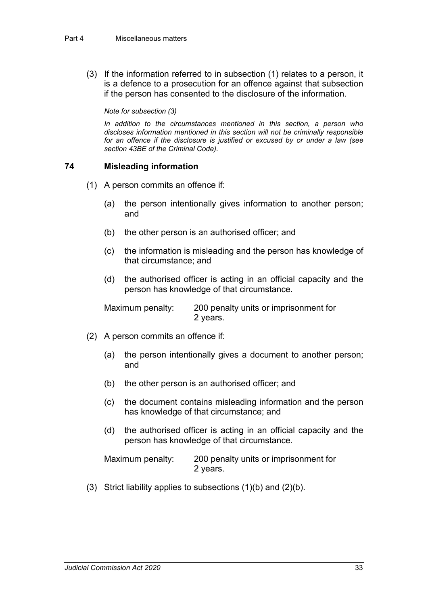(3) If the information referred to in subsection (1) relates to a person, it is a defence to a prosecution for an offence against that subsection if the person has consented to the disclosure of the information.

*Note for subsection (3)*

*In addition to the circumstances mentioned in this section, a person who discloses information mentioned in this section will not be criminally responsible for an offence if the disclosure is justified or excused by or under a law (see section 43BE of the Criminal Code).*

## **74 Misleading information**

- (1) A person commits an offence if:
	- (a) the person intentionally gives information to another person; and
	- (b) the other person is an authorised officer; and
	- (c) the information is misleading and the person has knowledge of that circumstance; and
	- (d) the authorised officer is acting in an official capacity and the person has knowledge of that circumstance.

Maximum penalty: 200 penalty units or imprisonment for 2 years.

- (2) A person commits an offence if:
	- (a) the person intentionally gives a document to another person; and
	- (b) the other person is an authorised officer; and
	- (c) the document contains misleading information and the person has knowledge of that circumstance; and
	- (d) the authorised officer is acting in an official capacity and the person has knowledge of that circumstance.

| Maximum penalty: | 200 penalty units or imprisonment for |
|------------------|---------------------------------------|
|                  | 2 years.                              |

(3) Strict liability applies to subsections (1)(b) and (2)(b).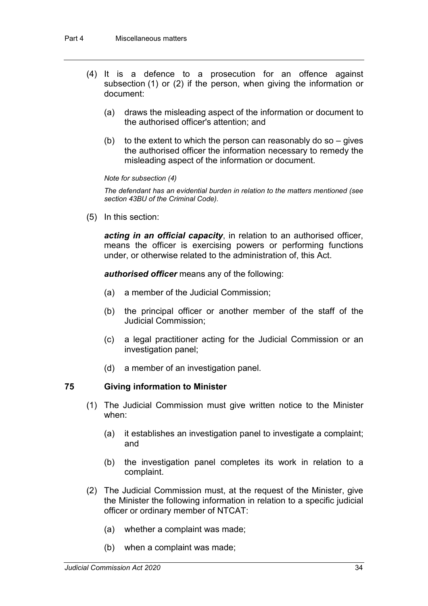- (4) It is a defence to a prosecution for an offence against subsection (1) or (2) if the person, when giving the information or document:
	- (a) draws the misleading aspect of the information or document to the authorised officer's attention; and
	- (b) to the extent to which the person can reasonably do so  $-$  gives the authorised officer the information necessary to remedy the misleading aspect of the information or document.

#### *Note for subsection (4)*

*The defendant has an evidential burden in relation to the matters mentioned (see section 43BU of the Criminal Code).*

(5) In this section:

*acting in an official capacity*, in relation to an authorised officer, means the officer is exercising powers or performing functions under, or otherwise related to the administration of, this Act.

*authorised officer* means any of the following:

- (a) a member of the Judicial Commission;
- (b) the principal officer or another member of the staff of the Judicial Commission;
- (c) a legal practitioner acting for the Judicial Commission or an investigation panel;
- (d) a member of an investigation panel.

#### **75 Giving information to Minister**

- (1) The Judicial Commission must give written notice to the Minister when:
	- (a) it establishes an investigation panel to investigate a complaint; and
	- (b) the investigation panel completes its work in relation to a complaint.
- (2) The Judicial Commission must, at the request of the Minister, give the Minister the following information in relation to a specific judicial officer or ordinary member of NTCAT:
	- (a) whether a complaint was made;
	- (b) when a complaint was made;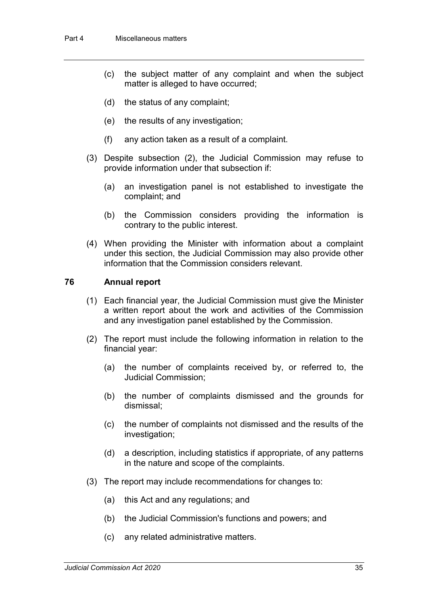- (c) the subject matter of any complaint and when the subject matter is alleged to have occurred;
- (d) the status of any complaint;
- (e) the results of any investigation;
- (f) any action taken as a result of a complaint.
- (3) Despite subsection (2), the Judicial Commission may refuse to provide information under that subsection if:
	- (a) an investigation panel is not established to investigate the complaint; and
	- (b) the Commission considers providing the information is contrary to the public interest.
- (4) When providing the Minister with information about a complaint under this section, the Judicial Commission may also provide other information that the Commission considers relevant.

#### **76 Annual report**

- (1) Each financial year, the Judicial Commission must give the Minister a written report about the work and activities of the Commission and any investigation panel established by the Commission.
- (2) The report must include the following information in relation to the financial year:
	- (a) the number of complaints received by, or referred to, the Judicial Commission;
	- (b) the number of complaints dismissed and the grounds for dismissal;
	- (c) the number of complaints not dismissed and the results of the investigation;
	- (d) a description, including statistics if appropriate, of any patterns in the nature and scope of the complaints.
- (3) The report may include recommendations for changes to:
	- (a) this Act and any regulations; and
	- (b) the Judicial Commission's functions and powers; and
	- (c) any related administrative matters.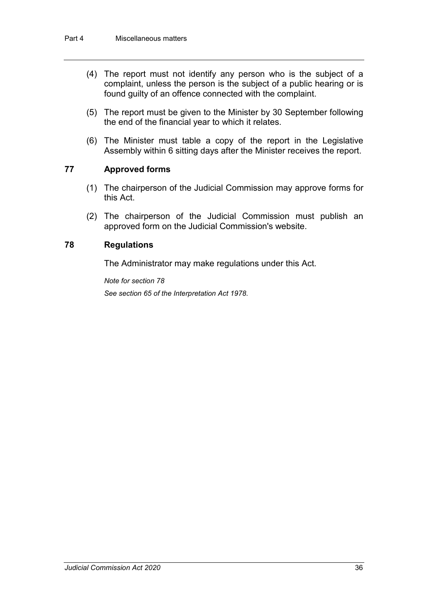- (4) The report must not identify any person who is the subject of a complaint, unless the person is the subject of a public hearing or is found guilty of an offence connected with the complaint.
- (5) The report must be given to the Minister by 30 September following the end of the financial year to which it relates.
- (6) The Minister must table a copy of the report in the Legislative Assembly within 6 sitting days after the Minister receives the report.

#### **77 Approved forms**

- (1) The chairperson of the Judicial Commission may approve forms for this Act.
- (2) The chairperson of the Judicial Commission must publish an approved form on the Judicial Commission's website.

#### **78 Regulations**

The Administrator may make regulations under this Act.

*Note for section 78 See section 65 of the Interpretation Act 1978*.